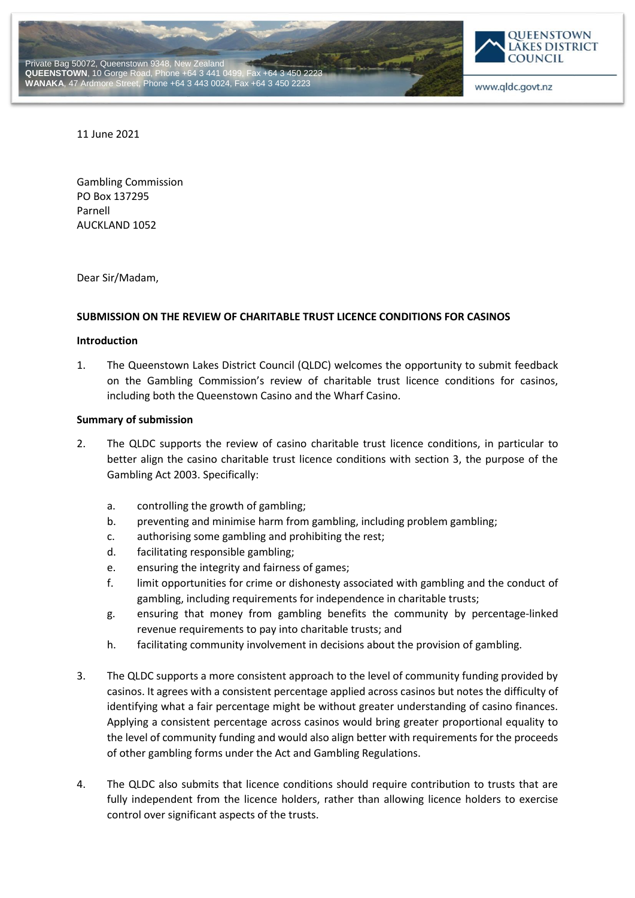



11 June 2021

Gambling Commission PO Box 137295 Parnell AUCKLAND 1052

Dear Sir/Madam,

#### **SUBMISSION ON THE REVIEW OF CHARITABLE TRUST LICENCE CONDITIONS FOR CASINOS**

#### **Introduction**

1. The Queenstown Lakes District Council (QLDC) welcomes the opportunity to submit feedback on the Gambling Commission's review of charitable trust licence conditions for casinos, including both the Queenstown Casino and the Wharf Casino.

#### **Summary of submission**

- 2. The QLDC supports the review of casino charitable trust licence conditions, in particular to better align the casino charitable trust licence conditions with section 3, the purpose of the Gambling Act 2003. Specifically:
	- a. controlling the growth of gambling;
	- b. preventing and minimise harm from gambling, including problem gambling;
	- c. authorising some gambling and prohibiting the rest;
	- d. facilitating responsible gambling;
	- e. ensuring the integrity and fairness of games;
	- f. limit opportunities for crime or dishonesty associated with gambling and the conduct of gambling, including requirements for independence in charitable trusts;
	- g. ensuring that money from gambling benefits the community by percentage-linked revenue requirements to pay into charitable trusts; and
	- h. facilitating community involvement in decisions about the provision of gambling.
- 3. The QLDC supports a more consistent approach to the level of community funding provided by casinos. It agrees with a consistent percentage applied across casinos but notes the difficulty of identifying what a fair percentage might be without greater understanding of casino finances. Applying a consistent percentage across casinos would bring greater proportional equality to the level of community funding and would also align better with requirements for the proceeds of other gambling forms under the Act and Gambling Regulations.
- 4. The QLDC also submits that licence conditions should require contribution to trusts that are fully independent from the licence holders, rather than allowing licence holders to exercise control over significant aspects of the trusts.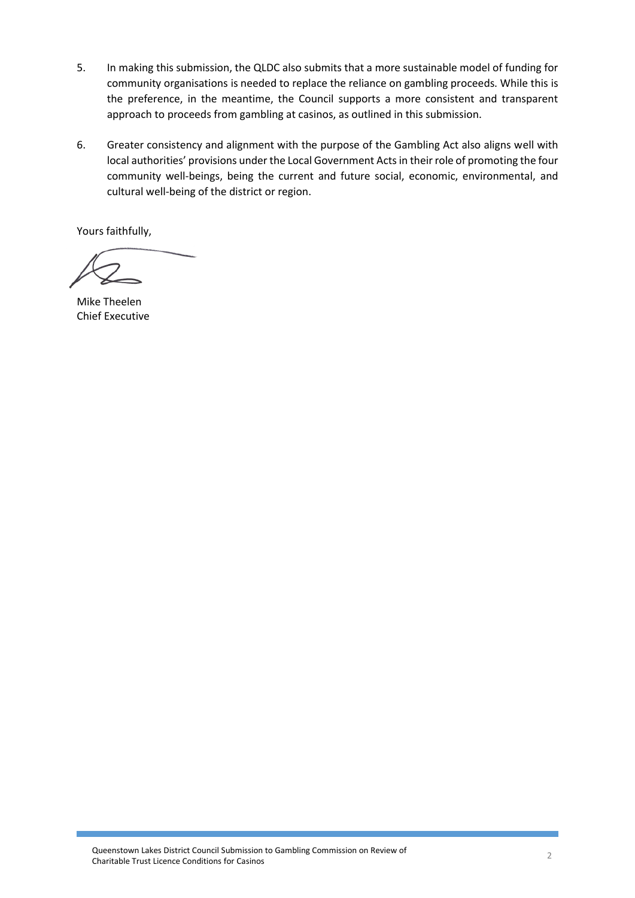- 5. In making this submission, the QLDC also submits that a more sustainable model of funding for community organisations is needed to replace the reliance on gambling proceeds. While this is the preference, in the meantime, the Council supports a more consistent and transparent approach to proceeds from gambling at casinos, as outlined in this submission.
	- 6. Greater consistency and alignment with the purpose of the Gambling Act also aligns well with local authorities' provisions under the Local Government Acts in their role of promoting the four community well-beings, being the current and future social, economic, environmental, and cultural well-being of the district or region.

Yours faithfully,

Mike Theelen Chief Executive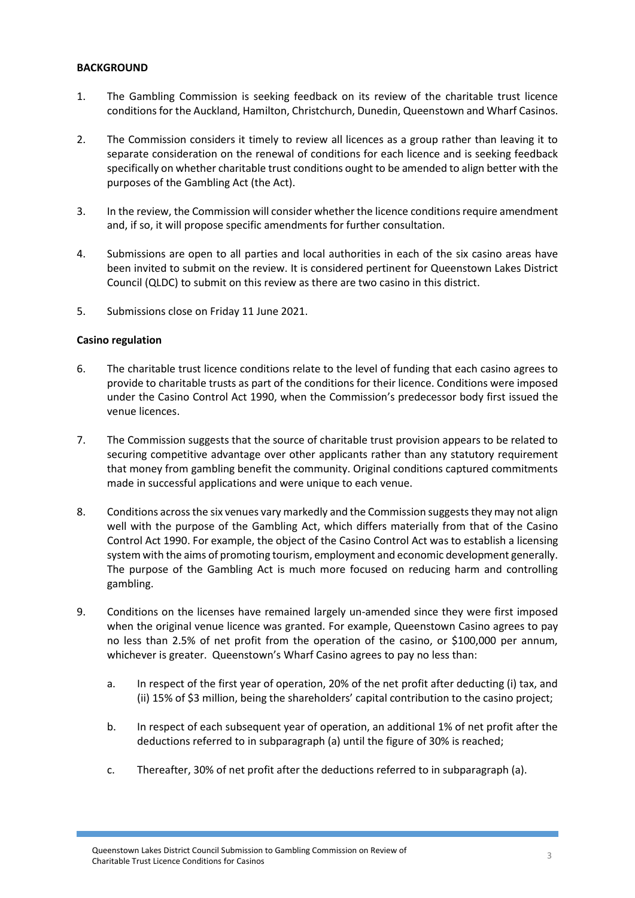# **BACKGROUND**

- 1. The Gambling Commission is seeking feedback on its review of the charitable trust licence conditions for the Auckland, Hamilton, Christchurch, Dunedin, Queenstown and Wharf Casinos.
- 2. The Commission considers it timely to review all licences as a group rather than leaving it to separate consideration on the renewal of conditions for each licence and is seeking feedback specifically on whether charitable trust conditions ought to be amended to align better with the purposes of the Gambling Act (the Act).
- 3. In the review, the Commission will consider whether the licence conditions require amendment and, if so, it will propose specific amendments for further consultation.
- 4. Submissions are open to all parties and local authorities in each of the six casino areas have been invited to submit on the review. It is considered pertinent for Queenstown Lakes District Council (QLDC) to submit on this review as there are two casino in this district.
- 5. Submissions close on Friday 11 June 2021.

## **Casino regulation**

- 6. The charitable trust licence conditions relate to the level of funding that each casino agrees to provide to charitable trusts as part of the conditions for their licence. Conditions were imposed under the Casino Control Act 1990, when the Commission's predecessor body first issued the venue licences.
- 7. The Commission suggests that the source of charitable trust provision appears to be related to securing competitive advantage over other applicants rather than any statutory requirement that money from gambling benefit the community. Original conditions captured commitments made in successful applications and were unique to each venue.
- 8. Conditions across the six venues vary markedly and the Commission suggests they may not align well with the purpose of the Gambling Act, which differs materially from that of the Casino Control Act 1990. For example, the object of the Casino Control Act was to establish a licensing system with the aims of promoting tourism, employment and economic development generally. The purpose of the Gambling Act is much more focused on reducing harm and controlling gambling.
- 9. Conditions on the licenses have remained largely un-amended since they were first imposed when the original venue licence was granted. For example, Queenstown Casino agrees to pay no less than 2.5% of net profit from the operation of the casino, or \$100,000 per annum, whichever is greater. Queenstown's Wharf Casino agrees to pay no less than:
	- a. In respect of the first year of operation, 20% of the net profit after deducting (i) tax, and (ii) 15% of \$3 million, being the shareholders' capital contribution to the casino project;
	- b. In respect of each subsequent year of operation, an additional 1% of net profit after the deductions referred to in subparagraph (a) until the figure of 30% is reached;
	- c. Thereafter, 30% of net profit after the deductions referred to in subparagraph (a).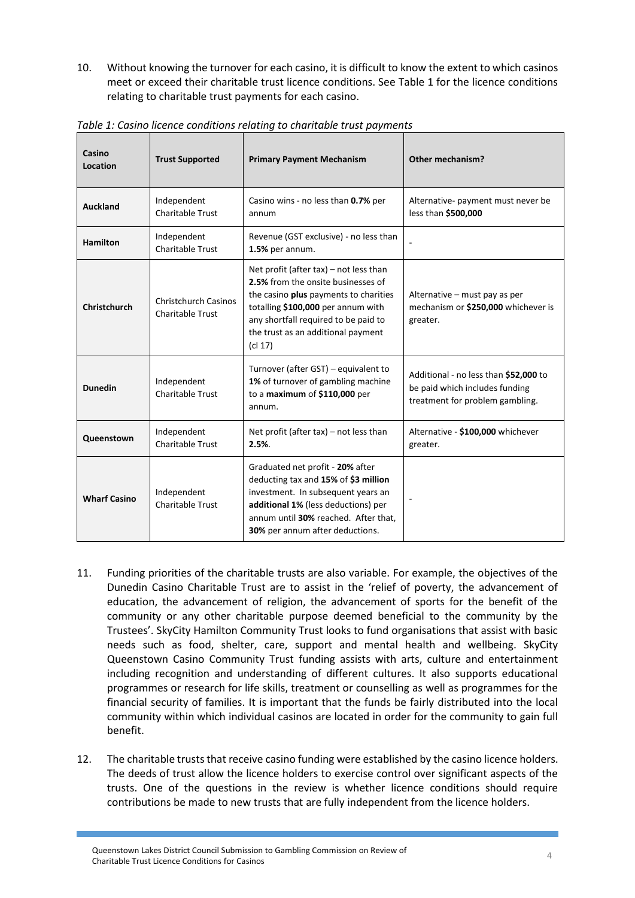10. Without knowing the turnover for each casino, it is difficult to know the extent to which casinos meet or exceed their charitable trust licence conditions. See Table 1 for the licence conditions relating to charitable trust payments for each casino.

| Casino<br>Location  | <b>Trust Supported</b>                                 | <b>Primary Payment Mechanism</b>                                                                                                                                                                                                                        | Other mechanism?                                                                                           |
|---------------------|--------------------------------------------------------|---------------------------------------------------------------------------------------------------------------------------------------------------------------------------------------------------------------------------------------------------------|------------------------------------------------------------------------------------------------------------|
| Auckland            | Independent<br><b>Charitable Trust</b>                 | Casino wins - no less than 0.7% per<br>annum                                                                                                                                                                                                            | Alternative- payment must never be<br>less than \$500,000                                                  |
| <b>Hamilton</b>     | Independent<br><b>Charitable Trust</b>                 | Revenue (GST exclusive) - no less than<br>1.5% per annum.                                                                                                                                                                                               |                                                                                                            |
| Christchurch        | <b>Christchurch Casinos</b><br><b>Charitable Trust</b> | Net profit (after $tax$ ) – not less than<br>2.5% from the onsite businesses of<br>the casino plus payments to charities<br>totalling \$100,000 per annum with<br>any shortfall required to be paid to<br>the trust as an additional payment<br>(cl 17) | Alternative - must pay as per<br>mechanism or \$250,000 whichever is<br>greater.                           |
| <b>Dunedin</b>      | Independent<br><b>Charitable Trust</b>                 | Turnover (after GST) – equivalent to<br>1% of turnover of gambling machine<br>to a maximum of \$110,000 per<br>annum.                                                                                                                                   | Additional - no less than \$52,000 to<br>be paid which includes funding<br>treatment for problem gambling. |
| Queenstown          | Independent<br>Charitable Trust                        | Net profit (after $tax$ ) – not less than<br>2.5%                                                                                                                                                                                                       | Alternative - \$100,000 whichever<br>greater.                                                              |
| <b>Wharf Casino</b> | Independent<br><b>Charitable Trust</b>                 | Graduated net profit - 20% after<br>deducting tax and 15% of \$3 million<br>investment. In subsequent years an<br>additional 1% (less deductions) per<br>annum until 30% reached. After that,<br>30% per annum after deductions.                        |                                                                                                            |

*Table 1: Casino licence conditions relating to charitable trust payments*

- 11. Funding priorities of the charitable trusts are also variable. For example, the objectives of the Dunedin Casino Charitable Trust are to assist in the 'relief of poverty, the advancement of education, the advancement of religion, the advancement of sports for the benefit of the community or any other charitable purpose deemed beneficial to the community by the Trustees'. SkyCity Hamilton Community Trust looks to fund organisations that assist with basic needs such as food, shelter, care, support and mental health and wellbeing. SkyCity Queenstown Casino Community Trust funding assists with arts, culture and entertainment including recognition and understanding of different cultures. It also supports educational programmes or research for life skills, treatment or counselling as well as programmes for the financial security of families. It is important that the funds be fairly distributed into the local community within which individual casinos are located in order for the community to gain full benefit.
- 12. The charitable trusts that receive casino funding were established by the casino licence holders. The deeds of trust allow the licence holders to exercise control over significant aspects of the trusts. One of the questions in the review is whether licence conditions should require contributions be made to new trusts that are fully independent from the licence holders.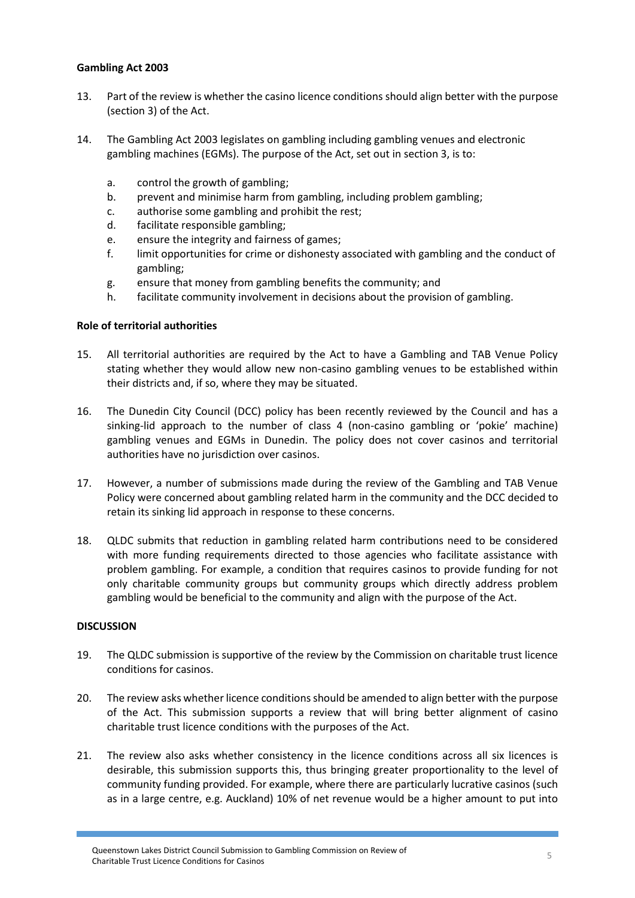# **Gambling Act 2003 Gambling Act 2003**

- 13. Part of the review is whether the casino licence conditions should align better with the purpose (section 3) of the Act.
- 14. The Gambling Act 2003 legislates on gambling including gambling venues and electronic gambling machines (EGMs). The purpose of the Act, set out in section 3, is to:
	- a. control the growth of gambling;
	- b. prevent and minimise harm from gambling, including problem gambling;
	- c. authorise some gambling and prohibit the rest;
	- d. facilitate responsible gambling;
	- e. ensure the integrity and fairness of games;
	- f. limit opportunities for crime or dishonesty associated with gambling and the conduct of gambling;
	- g. ensure that money from gambling benefits the community; and
	- h. facilitate community involvement in decisions about the provision of gambling.

## **Role of territorial authorities**

- 15. All territorial authorities are required by the Act to have a Gambling and TAB Venue Policy stating whether they would allow new non-casino gambling venues to be established within their districts and, if so, where they may be situated.
- 16. The Dunedin City Council (DCC) policy has been recently reviewed by the Council and has a sinking-lid approach to the number of class 4 (non-casino gambling or 'pokie' machine) gambling venues and EGMs in Dunedin. The policy does not cover casinos and territorial authorities have no jurisdiction over casinos.
- 17. However, a number of submissions made during the review of the Gambling and TAB Venue Policy were concerned about gambling related harm in the community and the DCC decided to retain its sinking lid approach in response to these concerns.
- 18. QLDC submits that reduction in gambling related harm contributions need to be considered with more funding requirements directed to those agencies who facilitate assistance with problem gambling. For example, a condition that requires casinos to provide funding for not only charitable community groups but community groups which directly address problem gambling would be beneficial to the community and align with the purpose of the Act.

## **DISCUSSION**

- 19. The QLDC submission is supportive of the review by the Commission on charitable trust licence conditions for casinos.
- 20. The review asks whether licence conditions should be amended to align better with the purpose of the Act. This submission supports a review that will bring better alignment of casino charitable trust licence conditions with the purposes of the Act.
- 21. The review also asks whether consistency in the licence conditions across all six licences is desirable, this submission supports this, thus bringing greater proportionality to the level of community funding provided. For example, where there are particularly lucrative casinos (such as in a large centre, e.g. Auckland) 10% of net revenue would be a higher amount to put into